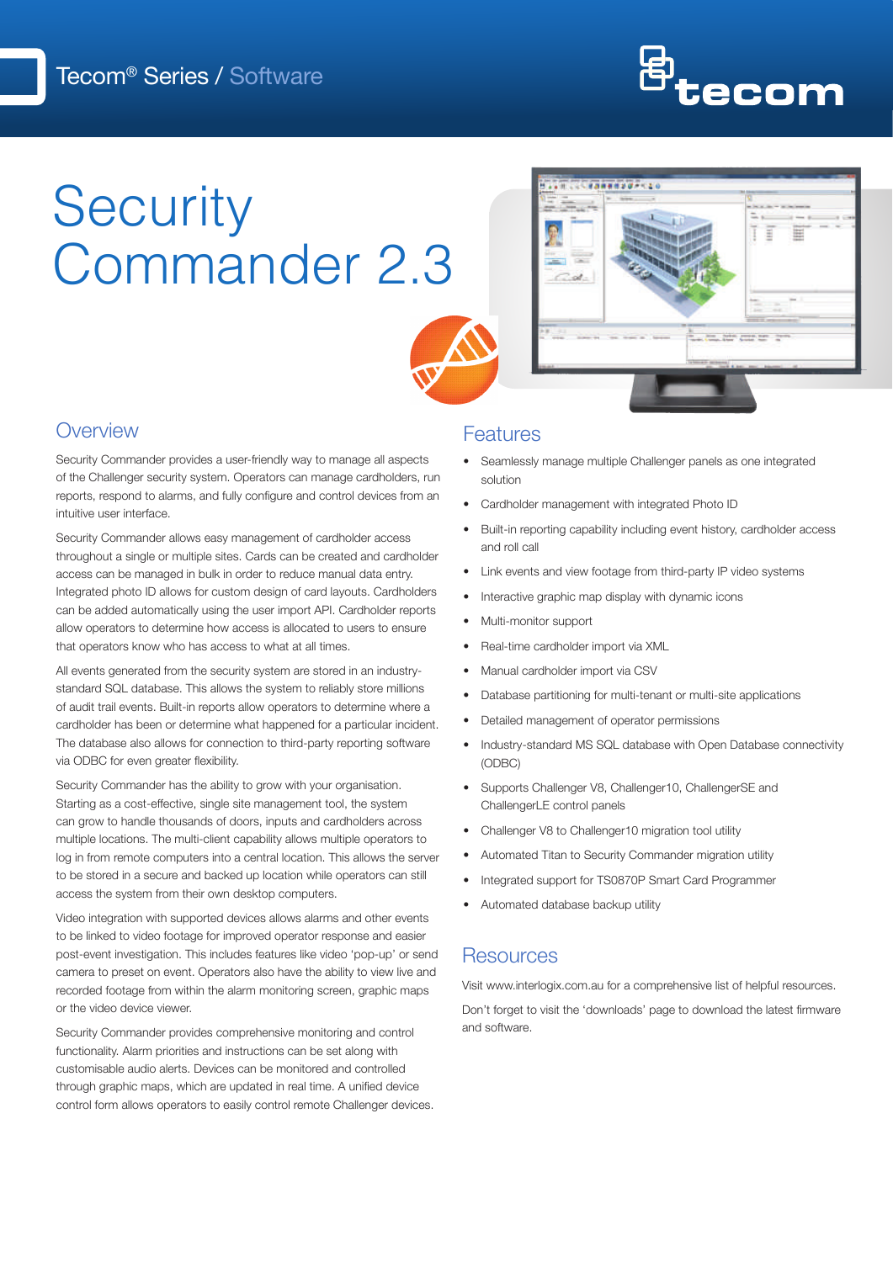

# **Security** Commander 2.3





### **Overview**

Security Commander provides a user-friendly way to manage all aspects of the Challenger security system. Operators can manage cardholders, run reports, respond to alarms, and fully configure and control devices from an intuitive user interface.

Security Commander allows easy management of cardholder access throughout a single or multiple sites. Cards can be created and cardholder access can be managed in bulk in order to reduce manual data entry. Integrated photo ID allows for custom design of card layouts. Cardholders can be added automatically using the user import API. Cardholder reports allow operators to determine how access is allocated to users to ensure that operators know who has access to what at all times.

All events generated from the security system are stored in an industrystandard SQL database. This allows the system to reliably store millions of audit trail events. Built-in reports allow operators to determine where a cardholder has been or determine what happened for a particular incident. The database also allows for connection to third-party reporting software via ODBC for even greater flexibility.

Security Commander has the ability to grow with your organisation. Starting as a cost-effective, single site management tool, the system can grow to handle thousands of doors, inputs and cardholders across multiple locations. The multi-client capability allows multiple operators to log in from remote computers into a central location. This allows the server to be stored in a secure and backed up location while operators can still access the system from their own desktop computers.

Video integration with supported devices allows alarms and other events to be linked to video footage for improved operator response and easier post-event investigation. This includes features like video 'pop-up' or send camera to preset on event. Operators also have the ability to view live and recorded footage from within the alarm monitoring screen, graphic maps or the video device viewer.

Security Commander provides comprehensive monitoring and control functionality. Alarm priorities and instructions can be set along with customisable audio alerts. Devices can be monitored and controlled through graphic maps, which are updated in real time. A unified device control form allows operators to easily control remote Challenger devices.

#### **Features**

- Seamlessly manage multiple Challenger panels as one integrated solution
- Cardholder management with integrated Photo ID
- Built-in reporting capability including event history, cardholder access and roll call
- Link events and view footage from third-party IP video systems
- Interactive graphic map display with dynamic icons
- Multi-monitor support
- Real-time cardholder import via XML
- Manual cardholder import via CSV
- Database partitioning for multi-tenant or multi-site applications
- Detailed management of operator permissions
- Industry-standard MS SQL database with Open Database connectivity (ODBC)
- Supports Challenger V8, Challenger10, ChallengerSE and ChallengerLE control panels
- Challenger V8 to Challenger10 migration tool utility
- Automated Titan to Security Commander migration utility
- Integrated support for TS0870P Smart Card Programmer
- Automated database backup utility

#### **Resources**

Visit www.interlogix.com.au for a comprehensive list of helpful resources.

Don't forget to visit the 'downloads' page to download the latest firmware and software.